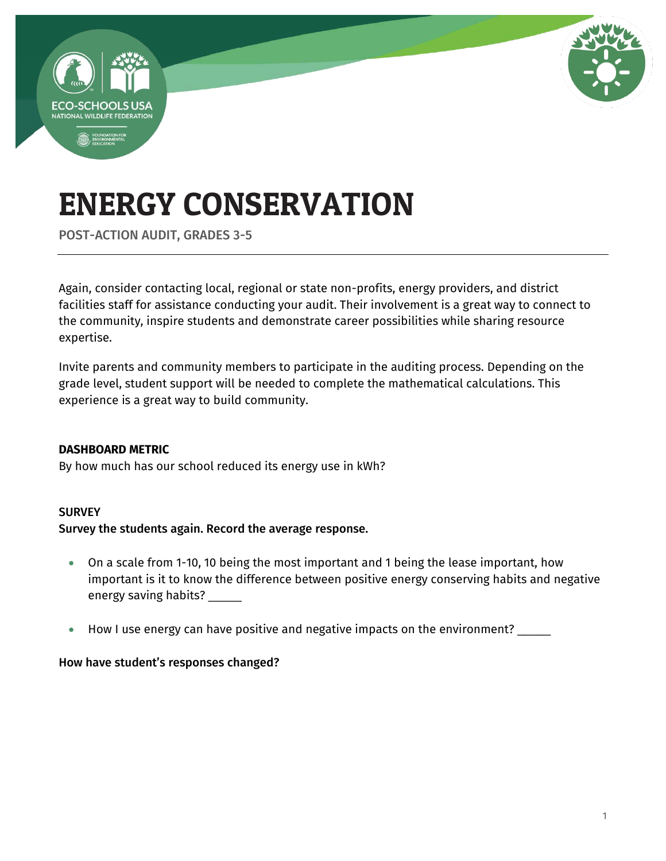

POST-ACTION AUDIT, GRADES 3-5

Again, consider contacting local, regional or state non-profits, energy providers, and district facilities staff for assistance conducting your audit. Their involvement is a great way to connect to the community, inspire students and demonstrate career possibilities while sharing resource expertise.

Invite parents and community members to participate in the auditing process. Depending on the grade level, student support will be needed to complete the mathematical calculations. This experience is a great way to build community.

### **DASHBOARD METRIC**

By how much has our school reduced its energy use in kWh?

### **SURVEY**

### Survey the students again. Record the average response.

- On a scale from 1-10, 10 being the most important and 1 being the lease important, how important is it to know the difference between positive energy conserving habits and negative energy saving habits? \_\_\_\_\_\_
- How I use energy can have positive and negative impacts on the environment?

### How have student's responses changed?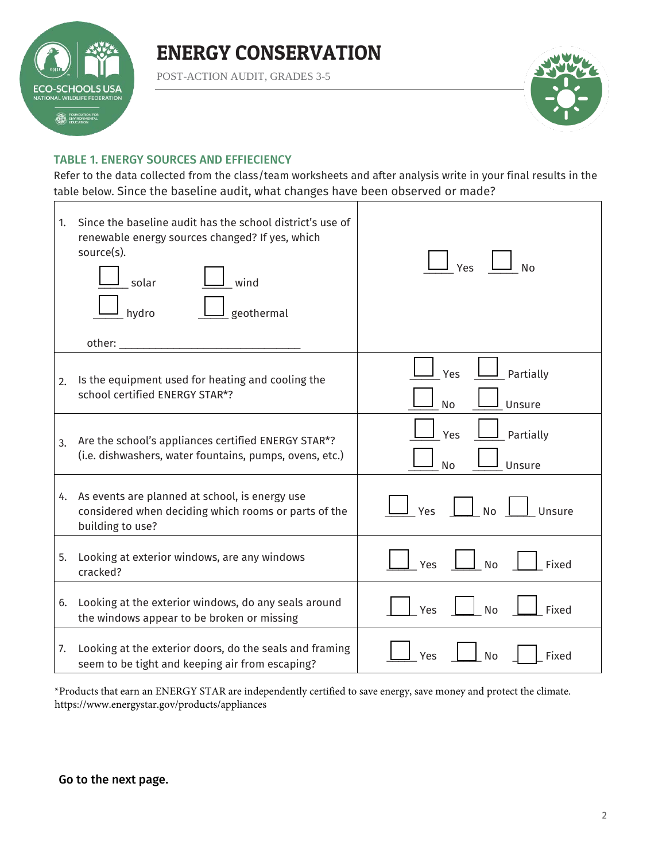

POST-ACTION AUDIT, GRADES 3-5



### TABLE 1. ENERGY SOURCES AND EFFIECIENCY

Refer to the data collected from the class/team worksheets and after analysis write in your final results in the table below. Since the baseline audit, what changes have been observed or made?

| 1. | Since the baseline audit has the school district's use of<br>renewable energy sources changed? If yes, which<br>source(s).<br>wind<br>solar<br>geothermal<br>hydro<br>other: | Yes<br><b>No</b>                 |
|----|------------------------------------------------------------------------------------------------------------------------------------------------------------------------------|----------------------------------|
| 2. | Is the equipment used for heating and cooling the<br>school certified ENERGY STAR*?                                                                                          | Partially<br>Yes<br>Unsure<br>No |
| 3. | Are the school's appliances certified ENERGY STAR*?<br>(i.e. dishwashers, water fountains, pumps, ovens, etc.)                                                               | Yes<br>Partially<br>Unsure<br>No |
|    | 4. As events are planned at school, is energy use<br>considered when deciding which rooms or parts of the<br>building to use?                                                | <b>No</b><br>Yes<br>Unsure       |
| 5. | Looking at exterior windows, are any windows<br>cracked?                                                                                                                     | Fixed<br>Yes<br><b>No</b>        |
| 6. | Looking at the exterior windows, do any seals around<br>the windows appear to be broken or missing                                                                           | Fixed<br>Yes<br><b>No</b>        |
| 7. | Looking at the exterior doors, do the seals and framing<br>seem to be tight and keeping air from escaping?                                                                   | Fixed<br>Yes<br>No               |

\*Products that earn an ENERGY STAR are independently certified to save energy, save money and protect the climate. https://www.energystar.gov/products/appliances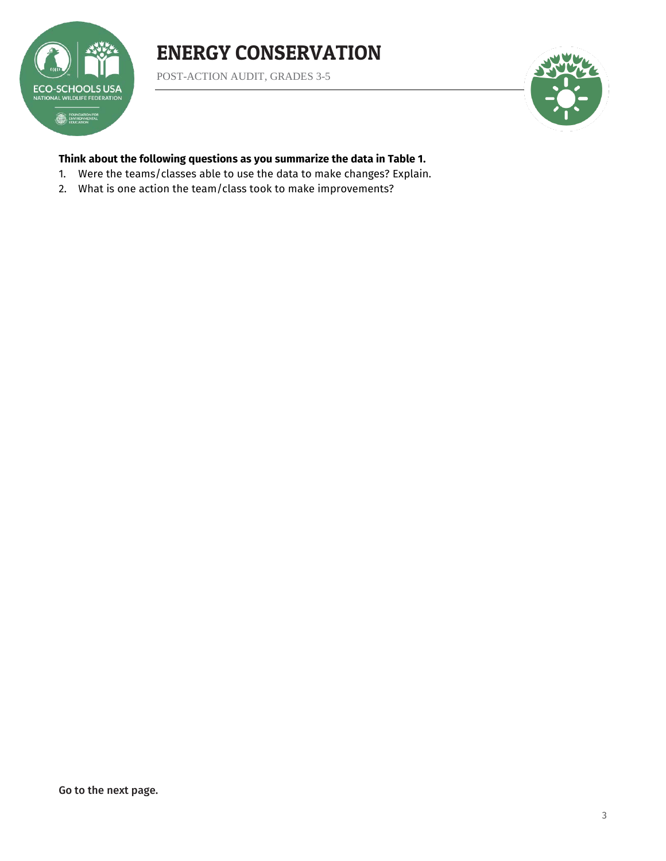POST-ACTION AUDIT, GRADES 3-5

**ECO-SCHOOLS USA** NATIONAL WILDLIFE FEDERATION **EDUNDATION FOR** 



### **Think about the following questions as you summarize the data in Table 1.**

- 1. Were the teams/classes able to use the data to make changes? Explain.
- 2. What is one action the team/class took to make improvements?

Go to the next page.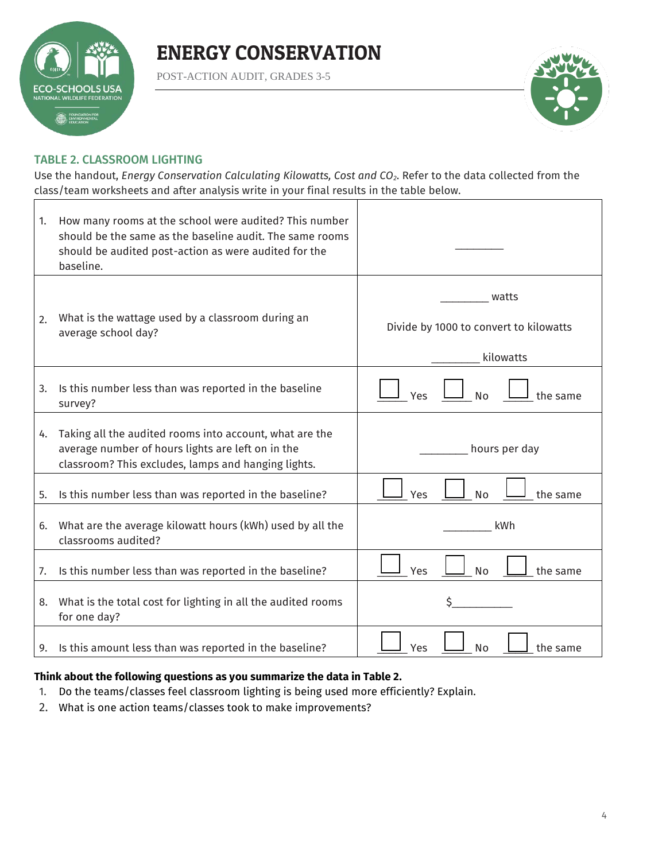

POST-ACTION AUDIT, GRADES 3-5



### TABLE 2. CLASSROOM LIGHTING

Use the handout, *Energy Conservation Calculating Kilowatts, Cost and CO2*. Refer to the data collected from the class/team worksheets and after analysis write in your final results in the table below.

| 1. | How many rooms at the school were audited? This number<br>should be the same as the baseline audit. The same rooms |                                        |
|----|--------------------------------------------------------------------------------------------------------------------|----------------------------------------|
|    | should be audited post-action as were audited for the<br>baseline.                                                 |                                        |
|    | What is the wattage used by a classroom during an                                                                  | watts                                  |
| 2. | average school day?                                                                                                | Divide by 1000 to convert to kilowatts |
|    |                                                                                                                    | kilowatts                              |
| 3. | Is this number less than was reported in the baseline<br>survey?                                                   | <b>No</b><br>the same<br>Yes           |
| 4. | Taking all the audited rooms into account, what are the                                                            |                                        |
|    | average number of hours lights are left on in the<br>classroom? This excludes, lamps and hanging lights.           | hours per day                          |
| 5. | Is this number less than was reported in the baseline?                                                             | Yes<br><b>No</b><br>the same           |
| 6. | What are the average kilowatt hours (kWh) used by all the<br>classrooms audited?                                   | kWh                                    |
| 7. | Is this number less than was reported in the baseline?                                                             | Yes<br><b>No</b><br>the same           |
| 8. | What is the total cost for lighting in all the audited rooms<br>for one day?                                       | \$                                     |
| 9. | Is this amount less than was reported in the baseline?                                                             | Yes<br>N <sub>o</sub><br>the same      |

### **Think about the following questions as you summarize the data in Table 2.**

- 1. Do the teams/classes feel classroom lighting is being used more efficiently? Explain.
- 2. What is one action teams/classes took to make improvements?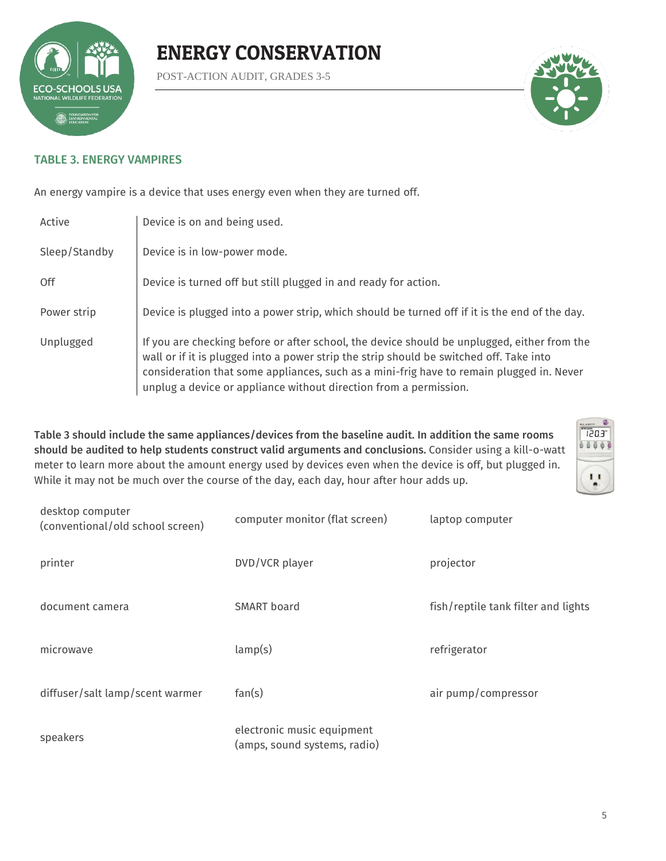

POST-ACTION AUDIT, GRADES 3-5



### TABLE 3. ENERGY VAMPIRES

An energy vampire is a device that uses energy even when they are turned off.

| Active        | Device is on and being used.                                                                                                                                                                                                                                                                                                                            |
|---------------|---------------------------------------------------------------------------------------------------------------------------------------------------------------------------------------------------------------------------------------------------------------------------------------------------------------------------------------------------------|
| Sleep/Standby | Device is in low-power mode.                                                                                                                                                                                                                                                                                                                            |
| 0ff           | Device is turned off but still plugged in and ready for action.                                                                                                                                                                                                                                                                                         |
| Power strip   | Device is plugged into a power strip, which should be turned off if it is the end of the day.                                                                                                                                                                                                                                                           |
| Unplugged     | If you are checking before or after school, the device should be unplugged, either from the<br>wall or if it is plugged into a power strip the strip should be switched off. Take into<br>consideration that some appliances, such as a mini-frig have to remain plugged in. Never<br>unplug a device or appliance without direction from a permission. |

Table 3 should include the same appliances/devices from the baseline audit. In addition the same rooms should be audited to help students construct valid arguments and conclusions. Consider using a kill-o-watt meter to learn more about the amount energy used by devices even when the device is off, but plugged in. While it may not be much over the course of the day, each day, hour after hour adds up.



| desktop computer<br>(conventional/old school screen) | computer monitor (flat screen)                             | laptop computer                     |
|------------------------------------------------------|------------------------------------------------------------|-------------------------------------|
| printer                                              | DVD/VCR player                                             | projector                           |
| document camera                                      | SMART board                                                | fish/reptile tank filter and lights |
| microwave                                            | lamp(s)                                                    | refrigerator                        |
| diffuser/salt lamp/scent warmer                      | fan(s)                                                     | air pump/compressor                 |
| speakers                                             | electronic music equipment<br>(amps, sound systems, radio) |                                     |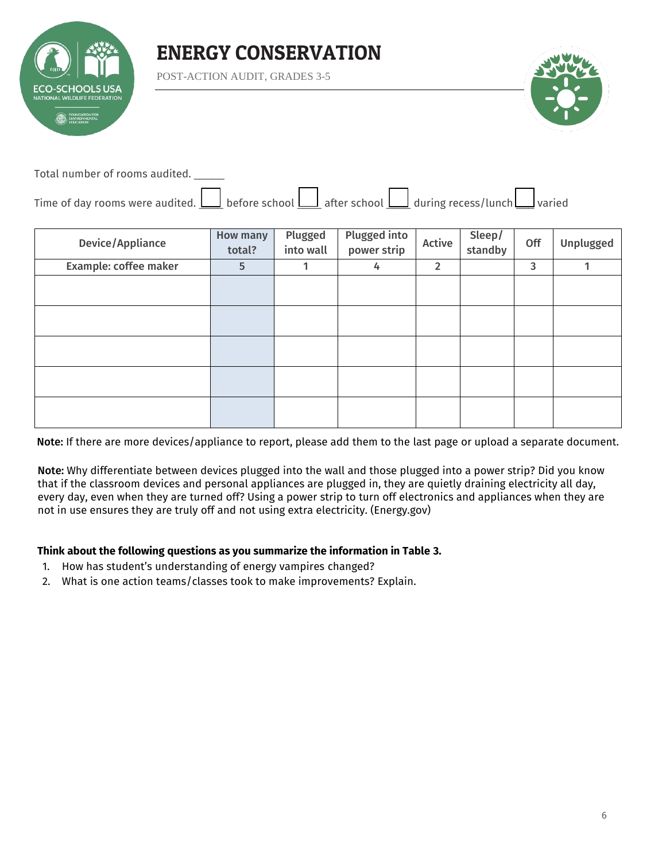

POST-ACTION AUDIT, GRADES 3-5



Total number of rooms audited. \_\_\_\_\_

| Time of day rooms were audited. $\bigsqcup$ before school $\bigsqcup$ after school $\bigsqcup$ during recess/lunch $\bigsqcup$ varied |  |  |  |  |
|---------------------------------------------------------------------------------------------------------------------------------------|--|--|--|--|

| Device/Appliance      | <b>How many</b><br>total? | Plugged<br>into wall | Plugged into<br>power strip | Active         | Sleep/<br>standby | Off | Unplugged |
|-----------------------|---------------------------|----------------------|-----------------------------|----------------|-------------------|-----|-----------|
| Example: coffee maker | 5                         | 1                    | 4                           | $\overline{2}$ |                   | 3   | 1         |
|                       |                           |                      |                             |                |                   |     |           |
|                       |                           |                      |                             |                |                   |     |           |
|                       |                           |                      |                             |                |                   |     |           |
|                       |                           |                      |                             |                |                   |     |           |
|                       |                           |                      |                             |                |                   |     |           |
|                       |                           |                      |                             |                |                   |     |           |
|                       |                           |                      |                             |                |                   |     |           |

Note: If there are more devices/appliance to report, please add them to the last page or upload a separate document.

Note: Why differentiate between devices plugged into the wall and those plugged into a power strip? Did you know that if the classroom devices and personal appliances are plugged in, they are quietly draining electricity all day, every day, even when they are turned off? Using a power strip to turn off electronics and appliances when they are not in use ensures they are truly off and not using extra electricity. (Energy.gov)

#### **Think about the following questions as you summarize the information in Table 3.**

- 1. How has student's understanding of energy vampires changed?
- 2. What is one action teams/classes took to make improvements? Explain.